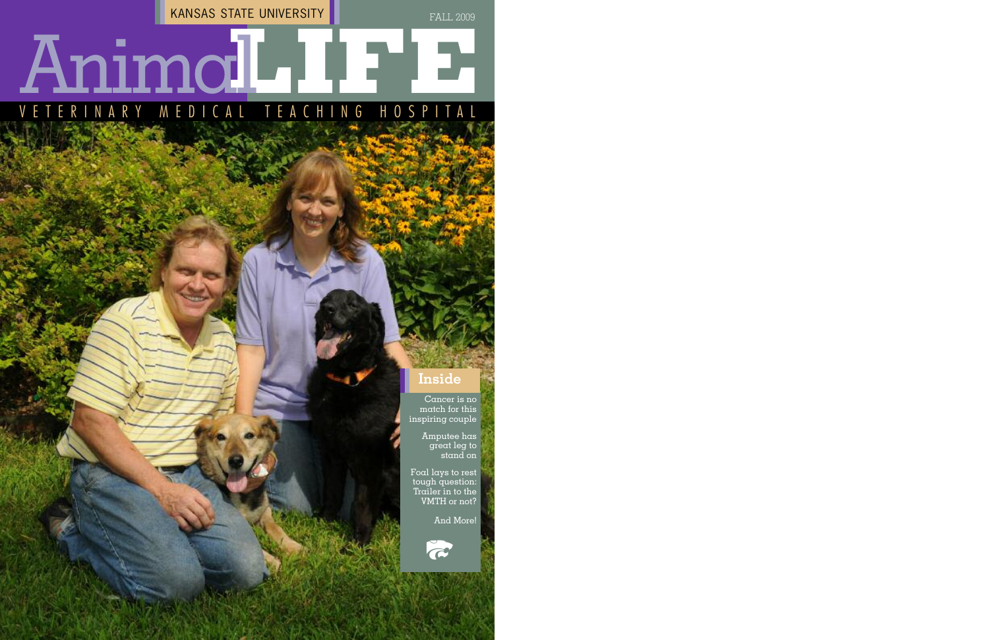Cancer is no match for this inspiring couple

> Amputee has great leg to stand on

Foal lays to rest tough question: Trailer in to the VMTH or not?

### V E T E R I N A R Y M E D I C A L **LL** T E A C H I N G H O S P I T A **IFE** Animal

And More!



KANSAS STATE UNIVERSITY

#### FALL 2009

#### **Inside**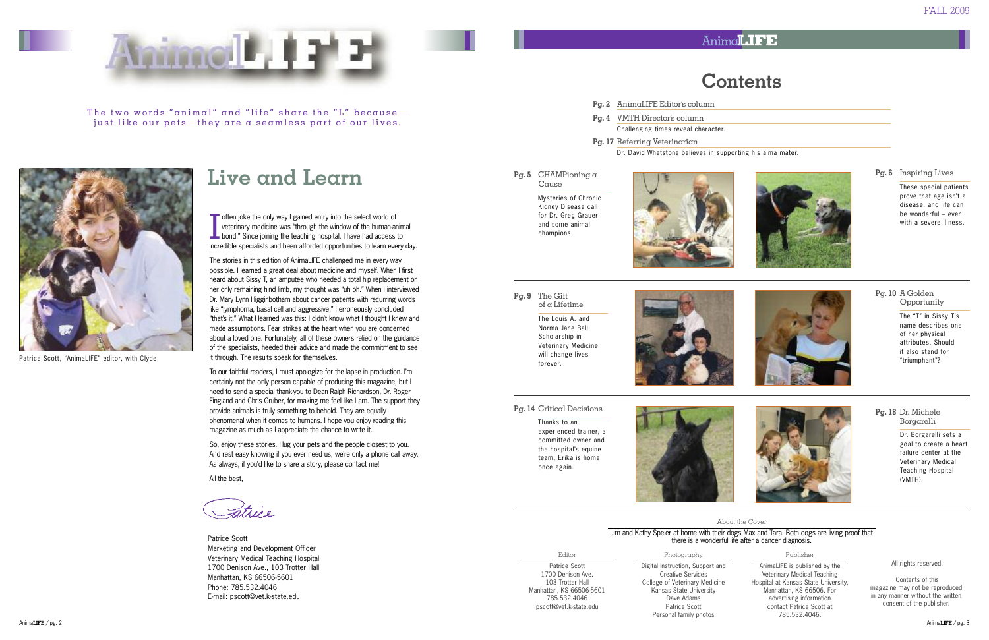



The two words "animal" and "life" share the "L" becausejust like our pets—they are a seamless part of our lives.



Patrice Scott, "AnimaLIFE" editor, with Clyde.

Patrice Scott Marketing and Development Officer Veterinary Medical Teaching Hospital 1700 Denison Ave., 103 Trotter Hall Manhattan, KS 66506-5601 Phone: 785.532.4046 E-mail: pscott@vet.k-state.edu

## **Live and Learn**

I  $\blacksquare$  often joke the only way I gained entry into the select world of veterinary medicine was "through the window of the human-animal bond." Since joining the teaching hospital, I have had access to incredible specialists and been afforded opportunities to learn every day.

The stories in this edition of AnimaLIFE challenged me in every way possible. I learned a great deal about medicine and myself. When I first heard about Sissy T, an amputee who needed a total hip replacement on her only remaining hind limb, my thought was "uh oh." When I interviewed Dr. Mary Lynn Higginbotham about cancer patients with recurring words like "lymphoma, basal cell and aggressive," I erroneously concluded "that's it." What I learned was this: I didn't know what I thought I knew and made assumptions. Fear strikes at the heart when you are concerned about a loved one. Fortunately, all of these owners relied on the guidance of the specialists, heeded their advice and made the commitment to see it through. The results speak for themselves.

To our faithful readers, I must apologize for the lapse in production. I'm certainly not the only person capable of producing this magazine, but I need to send a special thank-you to Dean Ralph Richardson, Dr. Roger Fingland and Chris Gruber, for making me feel like I am. The support they provide animals is truly something to behold. They are equally phenomenal when it comes to humans. I hope you enjoy reading this magazine as much as I appreciate the chance to write it.

So, enjoy these stories. Hug your pets and the people closest to you. And rest easy knowing if you ever need us, we're only a phone call away. As always, if you'd like to share a story, please contact me!

All the best,

Latrice

Editor Patrice Scott 1700 Denison Ave. 103 Trotter Hall Manhattan, KS 66506-5601 785.532.4046 pscott@vet.k-state.edu



#### Photography

Digital Instruction, Support and Creative Services College of Veterinary Medicine Kansas State University Dave Adams Patrice Scott Personal family photos

#### Publisher

AnimaLIFE is published by the Veterinary Medical Teaching Hospital at Kansas State University, Manhattan, KS 66506. For advertising information contact Patrice Scott at 785.532.4046.

All rights reserved.

Contents of this magazine may not be reproduced in any manner without the written consent of the publisher.

#### Animal **IFE**

### **Contents**









#### **Pg. 18** Dr. Michele Borgarelli

Dr. Borgarelli sets a goal to create a heart failure center at the Veterinary Medical Teaching Hospital (VMTH).

About the Cover

Jim and Kathy Speier at home with their dogs Max and Tara. Both dogs are living proof that there is a wonderful life after a cancer diagnosis.

**Pg. 9** The Gift of a Lifetime

> The Louis A. and Norma Jane Ball Scholarship in Veterinary Medicine will change lives forever.



**Pg. 5** CHAMPioning a Cause

> Mysteries of Chronic Kidney Disease call for Dr. Greg Grauer and some animal champions.



- **Pg. 2** AnimaLIFE Editor's column
- **Pg. 4** VMTH Director's column Challenging times reveal character.
- **Pg. 17** Referring Veterinarian Dr. David Whetstone believes in supporting his alma mater.

- **Pg. 6** Inspiring Lives These special patients prove that age isn't a disease, and life can be wonderful – even with a severe illness.
- **Pg. 10** A Golden Opportunity

#### **Pg. 14** Critical Decisions

Thanks to an experienced trainer, a committed owner and the hospital's equine team, Erika is home once again.

The "T" in Sissy T's name describes one of her physical attributes. Should it also stand for "triumphant"?



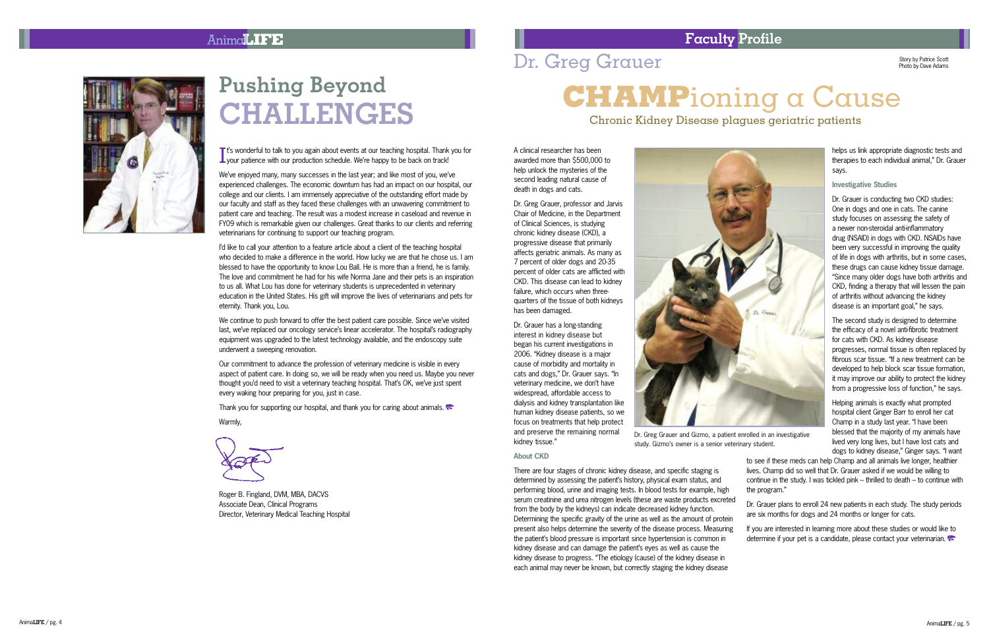#### Anima**LIFE**



# **Pushing Beyond**  $CHALLENGES$

T's wonderful to talk to you again about events at our teaching hospital. Thank<br>Lyour patience with our production schedule. We're happy to be back on track t's wonderful to talk to you again about events at our teaching hospital. Thank you for ' ' !

We've enioved many, many successes in the last vear; and like most of you, we've ' ' experienced challenges. The economic downturn has had an impact on our hospital, our college and our clients. I am immensely appreciative of the outstanding effort made by our faculty and staff as they faced these challenges with an unwavering commitment to patient care and teaching. The result was a modest increase in caseload and revenue in FYO9 which is remarkable given our challenges. Great thanks to our clients and referring veterinarians for continuing to support our teaching program.

I'd like to call vour attention to a feature article about a client of the teaching hospital ' who decided to make a difference in the world. How lucky we are that he chose us. I am blessed to have the opportunity to know Lou Ball. He is more than a friend, he is family. The love and commitment he had for his wife Norma Jane and their pets is an inspiration to us all. What Lou has done for veterinary students is unprecedented in veterinary education in the United States. His gift will improve the lives of veterinarians and pets for eternity. Thank you, Lou,

We continue to push forward to offer the best patient care possible. Since we've visited ' last, we've replaced our oncology service's linear accelerator. The hospital's radiography ' ' ' equipment was upgraded to the latest technology available, and the endoscopy suite underwent a sweeping renovation.

Our commitment to advance the profession of veterinary medicine is visible in every aspect of patient care. In doing so, we will be ready when you need us. Maybe you never thought vou'd need to visit a veterinary teaching hospital. That's OK, we've just spent ' ' ' every waking hour preparing for you, just in case.

Thank you for supporting our hospital, and thank you for caring about animals.

Warmly.

Roger B, Fingland, DVM, MBA, DACVS Associate Dean, Clinical Programs Director, Veterinary Medical Teaching Hospital

### Dr. Greg Grauer

Chronic Kidney Disease plagues geriatric patients

A clinical researcher has been awarded more than \$500,000 to help unlock the mysteries of the second leading natural cause of death in dogs and cats.

Dr. Greg Grauer, professor and Jarvis Chair of Medicine, in the Department of Clinical Sciences, is studving chronic kidnev disease (CKD), a progressive disease that primarily affects geriatric animals. As many as 7 percent of older dogs and 20-35 percent of older cats are afflicted with CKD. This disease can lead to kidney failure, which occurs when threequarters of the tissue of both kidneys has been damaged.

Dr. Grauer has a long-standing interest in kidnev disease but began his current investigations in 2006. "Kidney disease is a maior cause of morbidity and mortality in cats and dogs." Dr. Grauer savs. "In veterinary medicine, we don't have ' widespread, affordable access to dialysis and kidney transplantation like human kidney disease patients, so we focus on treatments that help protect and preserve the remaining normal kidnev tissue."



Dr. Greg Grauer and Gizmo, a patient enrolled in an investigative study. Gizmo's owner is a senior veterinary student. '

#### **About CKD**

There are four stages of chronic kidney disease, and specific staging is determined by assessing the patient's history, physical exam status, and ' performing blood, urine and imaging tests, In blood tests for example, high serum creatinine and urea nitrogen levels (these are waste products excreted from the body by the kidneys) can indicate decreased kidney function. Determining the specific gravity of the urine as well as the amount of protein present also helps determine the severity of the disease process. Measuring the patient's blood pressure is important since hypertension is common in ' kidney disease and can damage the patient's eves as well as cause the ' kidney disease to progress. "The etiology (cause) of the kidney disease in each animal may never be known, but correctly staging the kidney disease the program." Dr. Grauer plans to enroll 24 new patients in each study. The study periods are six months for dogs and 24 months or longer for cats. If you are interested in learning more about these studies or would like to determine if your pet is a candidate, please contact your veterinarian.

**Faculty Profile** 

tory by Patrice Scott Photo by Dave Adams

# reg Grauer<br> **CHAMP**ioning a Cause

helps us link appropriate diagnostic tests and therapies to each individual animal." Dr. Grauer savs.

#### Investigative Studies

Dr. Grauer is conducting two CKD studies: One in dogs and one in cats. The canine study focuses on assessing the safety of a newer non-steroidal anti-inflammatory drug (NSAID) in dogs with CKD, NSAIDs have been very successful in improving the quality of life in dogs with arthritis, but in some cases. these drugs can cause kidney tissue damage. "Since many older dogs have both arthritis and CKD, finding a therapy that will lessen the pain of arthritis without advancing the kidney disease is an important goal." he savs.

The second study is designed to determine the efficacy of a novel anti-fibrotic treatment for cats with CKD. As kidney disease progresses, normal tissue is often replaced by fibrous scar tissue. "If a new treatment can be developed to help block scar tissue formation. it may improve our ability to protect the kidney from a progressive loss of function." he savs.

Helping animals is exactly what prompted hospital client Ginger Barr to enroll her cat Champ in a study last year. "I have been blessed that the maiority of my animals have lived very long lives, but I have lost cats and dogs to kidney disease." Ginger says. "I want

to see if these meds can help Champ and all animals live longer, healthier lives. Champ did so well that Dr. Grauer asked if we would be willing to continue in the study. I was tickled pink – thrilled to death – to continue with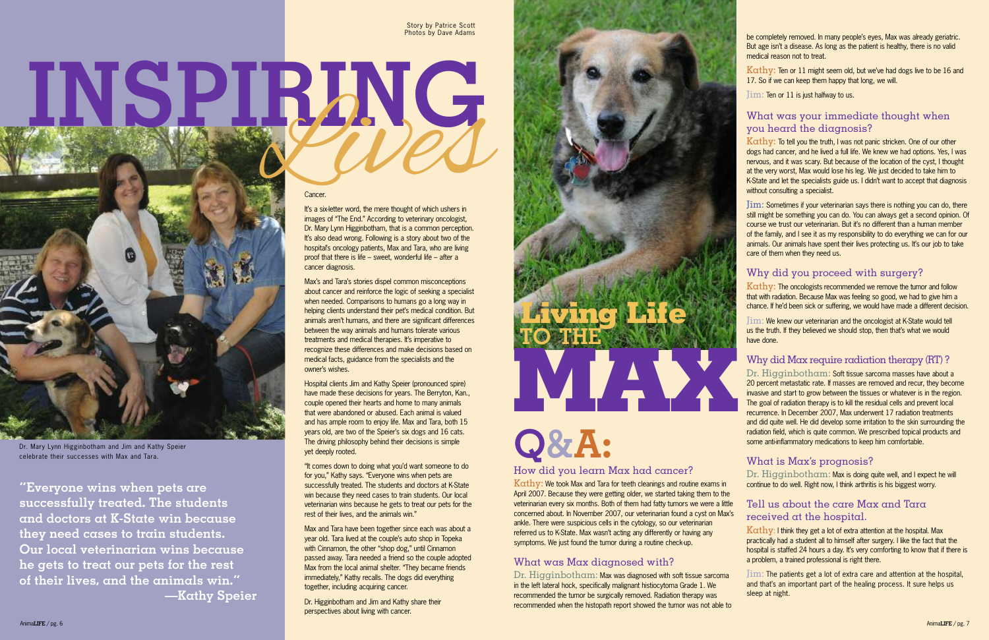#### Cancer.

It's a six-letter word, the mere thought of which ushers in images of "The End." According to veterinary oncologist, Dr. Mary Lynn Higginbotham, that is a common perception. It's also dead wrong. Following is a story about two of the hospital's oncology patients, Max and Tara, who are living proof that there is life – sweet, wonderful life – after a cancer diagnosis.

Hospital clients Jim and Kathy Speier (pronounced spire) have made these decisions for years. The Berryton, Kan., couple opened their hearts and home to many animals that were abandoned or abused. Each animal is valued and has ample room to enjoy life. Max and Tara, both 15 years old, are two of the Speier's six dogs and 16 cats. The driving philosophy behind their decisions is simple yet deeply rooted. Dr. Mary Lynn Higginbotham and Jim and Kathy Speier<br>
Celebrate their successes with Max and Tara.<br>
The driving philosophy behind their decisions is simple<br>
yet deeply rooted.

Max's and Tara's stories dispel common misconceptions about cancer and reinforce the logic of seeking a specialist when needed. Comparisons to humans go a long way in helping clients understand their pet's medical condition. But animals aren't humans, and there are significant differences between the way animals and humans tolerate various treatments and medical therapies. It's imperative to recognize these differences and make decisions based on medical facts, guidance from the specialists and the owner's wishes.

> Kathy: We took Max and Tara for teeth cleanings and routine exams in April 2007. Because they were getting older, we started taking them to the veterinarian every six months. Both of them had fatty tumors we were a little concerned about. In November 2007, our veterinarian found a cyst on Max's ankle. There were suspicious cells in the cytology, so our veterinarian referred us to K-State. Max wasn't acting any differently or having any symptoms. We just found the tumor during a routine check-up.

Dr. Higginbotham: Max was diagnosed with soft tissue sarcoma in the left lateral hock, specifically malignant histiocytoma Grade 1. We recommended the tumor be surgically removed. Radiation therapy was recommended when the histopath report showed the tumor was not able to

"It comes down to doing what you'd want someone to do for you," Kathy says. "Everyone wins when pets are successfully treated. The students and doctors at K-State win because they need cases to train students. Our local veterinarian wins because he gets to treat our pets for the rest of their lives, and the animals win."

 $K \alpha$ thy: Ten or 11 might seem old, but we've had dogs live to be 16 and 17. So if we can keep them happy that long, we will.

Max and Tara have been together since each was about a year old. Tara lived at the couple's auto shop in Topeka with Cinnamon, the other "shop dog," until Cinnamon passed away. Tara needed a friend so the couple adopted Max from the local animal shelter. "They became friends immediately," Kathy recalls. The dogs did everything together, including acquiring cancer.

Dr. Higginbotham and Jim and Kathy share their perspectives about living with cancer.

#### How did you learn Max had cancer?

Kathy: The oncologists recommended we remove the tumor and follow that with radiation. Because Max was feeling so good, we had to give him a chance. If he'd been sick or suffering, we would have made a different decision.

#### What was Max diagnosed with?

Dr. Higginbotham: Max is doing quite well, and I expect he will continue to do well. Right now, I think arthritis is his biggest worry.

 $K \alpha$ thy: I think they get a lot of extra attention at the hospital. Max practically had a student all to himself after surgery. I like the fact that the hospital is staffed 24 hours a day. It's very comforting to know that if there is a problem, a trained professional is right there.

be completely removed. In many people's eyes, Max was already geriatric. But age isn't a disease. As long as the patient is healthy, there is no valid medical reason not to treat.

Jim: Ten or 11 is just halfway to us.

#### What was your immediate thought when you heard the diagnosis?

Kathy: To tell you the truth, I was not panic stricken. One of our other dogs had cancer, and he lived a full life. We knew we had options. Yes, I was nervous, and it was scary. But because of the location of the cyst, I thought at the very worst, Max would lose his leg. We just decided to take him to K-State and let the specialists guide us. I didn't want to accept that diagnosis without consulting a specialist.

Jim: Sometimes if your veterinarian says there is nothing you can do, there still might be something you can do. You can always get a second opinion. Of course we trust our veterinarian. But it's no different than a human member of the family, and I see it as my responsibility to do everything we can for our animals. Our animals have spent their lives protecting us. It's our job to take care of them when they need us.

#### Why did you proceed with surgery?

Jim: We knew our veterinarian and the oncologist at K-State would tell us the truth. If they believed we should stop, then that's what we would have done.

#### Why did Max require radiation therapy (RT) ?

Dr. Higginbotham: Soft tissue sarcoma masses have about a 20 percent metastatic rate. If masses are removed and recur, they become invasive and start to grow between the tissues or whatever is in the region. The goal of radiation therapy is to kill the residual cells and prevent local recurrence. In December 2007, Max underwent 17 radiation treatments and did quite well. He did develop some irritation to the skin surrounding the radiation field, which is quite common. We prescribed topical products and some anti-inflammatory medications to keep him comfortable.

#### What is Max's prognosis?

#### Tell us about the care Max and Tara received at the hospital.

#### Jim: The patients get a lot of extra care and attention at the hospital, and that's an important part of the healing process. It sure helps us sleep at night.

# **Living Life TO THE MAX**

**"Everyone wins when pets are successfully treated. The students and doctors at K-State win because they need cases to train students. Our local veterinarian wins because he gets to treat our pets for the rest of their lives, and the animals win." —Kathy Speier**



celebrate their successes with Max and Tara.

INSPIRIMG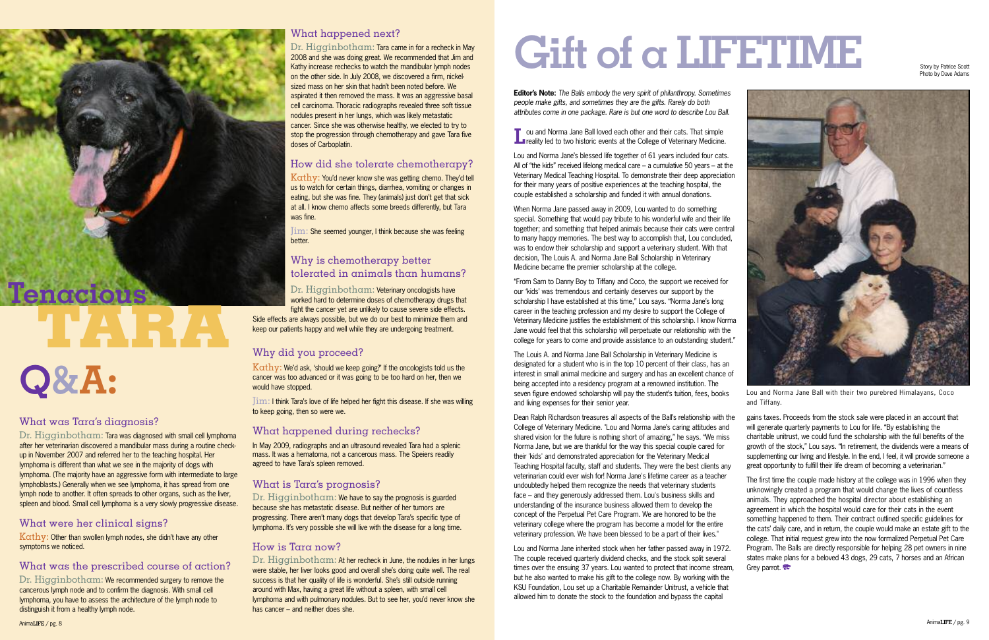**Editor's Note:** *The Balls embody the very spirit of philanthropy. Sometimes people make gifts, and sometimes they are the gifts. Rarely do both attributes come in one package. Rare is but one word to describe Lou Ball.*

**L**ou and Norma Jane Ball loved each other and their cats. That simple<br>**L**evelity led to two historic events at the College of Veterinary Medicine.

Lou and Norma Jane's blessed life together of 61 years included four cats. All of "the kids" received lifelong medical care – a cumulative 50 years – at the Veterinary Medical Teaching Hospital. To demonstrate their deep appreciation for their many years of positive experiences at the teaching hospital, the couple established a scholarship and funded it with annual donations.

When Norma Jane passed away in 2009, Lou wanted to do something special. Something that would pay tribute to his wonderful wife and their life together; and something that helped animals because their cats were central to many happy memories. The best way to accomplish that, Lou concluded, was to endow their scholarship and support a veterinary student. With that decision, The Louis A. and Norma Jane Ball Scholarship in Veterinary Medicine became the premier scholarship at the college.

Dean Ralph Richardson treasures all aspects of the Ball's relationship with the College of Veterinary Medicine. "Lou and Norma Jane's caring attitudes and shared vision for the future is nothing short of amazing," he says. "We miss Norma Jane, but we are thankful for the way this special couple cared for their 'kids' and demonstrated appreciation for the Veterinary Medical Teaching Hospital faculty, staff and students. They were the best clients any veterinarian could ever wish for! Norma Jane's lifetime career as a teacher undoubtedly helped them recognize the needs that veterinary students face – and they generously addressed them. Lou's business skills and understanding of the insurance business allowed them to develop the concept of the Perpetual Pet Care Program. We are honored to be the veterinary college where the program has become a model for the entire veterinary profession. We have been blessed to be a part of their lives." times over the ensuing 37 years. Lou wanted to protect that income stream, gains taxes. Proceeds from the stock sale were placed in an account that will generate quarterly payments to Lou for life. "By establishing the charitable unitrust, we could fund the scholarship with the full benefits of the growth of the stock," Lou says. "In retirement, the dividends were a means of supplementing our living and lifestyle. In the end, I feel, it will provide someone a great opportunity to fulfill their life dream of becoming a veterinarian." The first time the couple made history at the college was in 1996 when they unknowingly created a program that would change the lives of countless animals. They approached the hospital director about establishing an agreement in which the hospital would care for their cats in the event something happened to them. Their contract outlined specific guidelines for the cats' daily care, and in return, the couple would make an estate gift to the college. That initial request grew into the now formalized Perpetual Pet Care Program. The Balls are directly responsible for helping 28 pet owners in nine states make plans for a beloved 43 dogs, 29 cats, 7 horses and an African Grey parrot.

"From Sam to Danny Boy to Tiffany and Coco, the support we received for our 'kids' was tremendous and certainly deserves our support by the scholarship I have established at this time," Lou says. "Norma Jane's long career in the teaching profession and my desire to support the College of Veterinary Medicine justifies the establishment of this scholarship. I know Norma Jane would feel that this scholarship will perpetuate our relationship with the college for years to come and provide assistance to an outstanding student."

Dr. Higginbotham: Tara was diagnosed with small cell lymphoma after her veterinarian discovered a mandibular mass during a routine checkup in November 2007 and referred her to the teaching hospital. Her lymphoma is different than what we see in the majority of dogs with lymphoma. (The majority have an aggressive form with intermediate to large lymphoblasts.) Generally when we see lymphoma, it has spread from one lymph node to another. It often spreads to other organs, such as the liver, spleen and blood. Small cell lymphoma is a very slowly progressive disease.

 $K \alpha$ thy: Other than swollen lymph nodes, she didn't have any other symptoms we noticed.

Kathy: You'd never know she was getting chemo. They'd tell us to watch for certain things, diarrhea, vomiting or changes in eating, but she was fine. They (animals) just don't get that sick at all. I know chemo affects some breeds differently, but Tara was fine.

> Lou and Norma Jane inherited stock when her father passed away in 1972. The couple received quarterly dividend checks, and the stock split several but he also wanted to make his gift to the college now. By working with the KSU Foundation, Lou set up a Charitable Remainder Unitrust, a vehicle that allowed him to donate the stock to the foundation and bypass the capital

Side effects are always possible, but we do our best to minimize them and keep our patients happy and well while they are undergoing treatment.

 $K$  $\alpha$ thy: We'd ask, 'should we keep going?' If the oncologists told us the cancer was too advanced or it was going to be too hard on her, then we would have stopped.

Dr. Higginbotham: We have to say the prognosis is guarded because she has metastatic disease. But neither of her tumors are progressing. There aren't many dogs that develop Tara's specific type of lymphoma. It's very possible she will live with the disease for a long time.

#### What was Tara's diagnosis?

The Louis A. and Norma Jane Ball Scholarship in Veterinary Medicine is designated for a student who is in the top 10 percent of their class, has an interest in small animal medicine and surgery and has an excellent chance of being accepted into a residency program at a renowned institution. The seven figure endowed scholarship will pay the student's tuition, fees, books and living expenses for their senior year. Lou and Norma Jane Ball with their two purebred Himalayans, Coco and Tiffany.

#### What were her clinical signs?

#### What was the prescribed course of action?

Dr. Higginbotham: We recommended surgery to remove the cancerous lymph node and to confirm the diagnosis. With small cell lymphoma, you have to assess the architecture of the lymph node to distinguish it from a healthy lymph node.

#### What happened next?

Dr. Higginbotham: Tara came in for a recheck in May 2008 and she was doing great. We recommended that Jim and Kathy increase rechecks to watch the mandibular lymph nodes on the other side. In July 2008, we discovered a firm, nickelsized mass on her skin that hadn't been noted before. We aspirated it then removed the mass. It was an aggressive basal cell carcinoma. Thoracic radiographs revealed three soft tissue nodules present in her lungs, which was likely metastatic cancer. Since she was otherwise healthy, we elected to try to stop the progression through chemotherapy and gave Tara five doses of Carboplatin.

#### How did she tolerate chemotherapy?

Jim: She seemed younger, I think because she was feeling better.

#### Why is chemotherapy better tolerated in animals than humans?

Dr. Higginbotham: Veterinary oncologists have worked hard to determine doses of chemotherapy drugs that fight the cancer yet are unlikely to cause severe side effects.

#### Why did you proceed?

Jim: I think Tara's love of life helped her fight this disease. If she was willing to keep going, then so were we.

#### What happened during rechecks?

In May 2009, radiographs and an ultrasound revealed Tara had a splenic mass. It was a hematoma, not a cancerous mass. The Speiers readily agreed to have Tara's spleen removed.

#### What is Tara's prognosis?

#### How is Tara now?

Dr. Higginbotham: At her recheck in June, the nodules in her lungs were stable, her liver looks good and overall she's doing quite well. The real success is that her quality of life is wonderful. She's still outside running around with Max, having a great life without a spleen, with small cell lymphoma and with pulmonary nodules. But to see her, you'd never know she has cancer – and neither does she.

# **Gift of a LIFETIME**

# **TARA**





Photo by Dave Adams

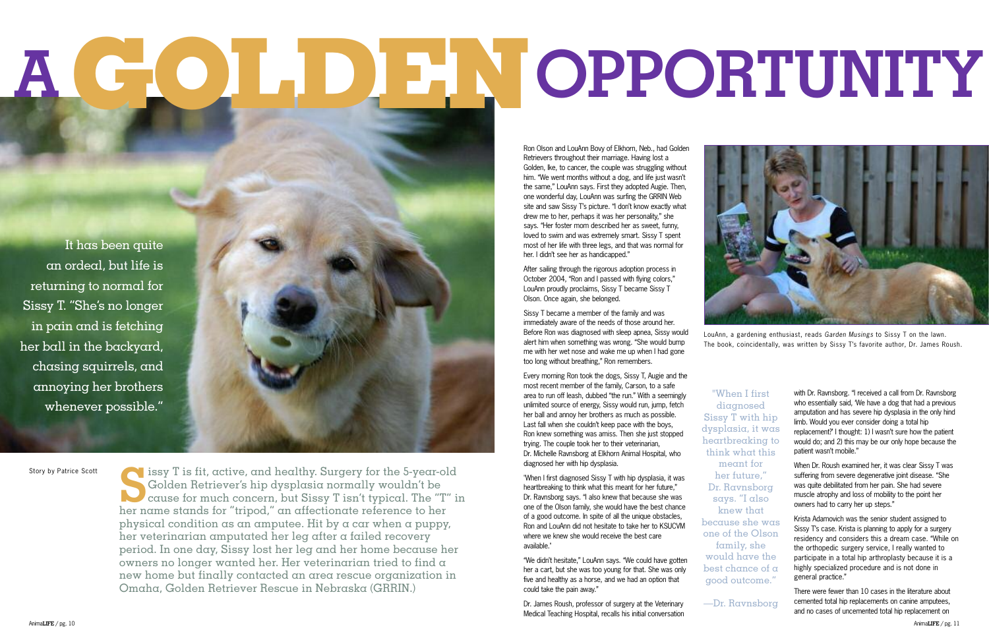Sissy T is fit, active, and healthy. Surgery for the 5-year-old Golden Retriever's hip dysplasia normally wouldn't be cause for much concern, but Sissy T isn't typical. The "T" is her normal stands for "tripod" on affectio Golden Retriever's hip dysplasia normally wouldn't be cause for much concern, but Sissy T isn't typical. The "T" in her name stands for "tripod," an affectionate reference to her physical condition as an amputee. Hit by a car when a puppy, her veterinarian amputated her leg after a failed recovery period. In one day, Sissy lost her leg and her home because her owners no longer wanted her. Her veterinarian tried to find a new home but finally contacted an area rescue organization in Omaha, Golden Retriever Rescue in Nebraska (GRRIN.)

Ron Olson and LouAnn Bovy of Elkhorn, Neb., had Golden Retrievers throughout their marriage. Having lost a Golden, Ike, to cancer, the couple was struggling without him. "We went months without a dog, and life just wasn't the same," LouAnn says. First they adopted Augie. Then, one wonderful day, LouAnn was surfing the GRRIN Web site and saw Sissy T's picture. "I don't know exactly what drew me to her, perhaps it was her personality," she says. "Her foster mom described her as sweet, funny, loved to swim and was extremely smart. Sissy T spent most of her life with three legs, and that was normal for her. I didn't see her as handicapped."

After sailing through the rigorous adoption process in October 2004, "Ron and I passed with flying colors," LouAnn proudly proclaims, Sissy T became Sissy T Olson. Once again, she belonged.

Sissy T became a member of the family and was immediately aware of the needs of those around her. Before Ron was diagnosed with sleep apnea, Sissy would alert him when something was wrong. "She would bump me with her wet nose and wake me up when I had gone too long without breathing," Ron remembers.

Every morning Ron took the dogs, Sissy T, Augie and the most recent member of the family, Carson, to a safe area to run off leash, dubbed "the run." With a seemingly unlimited source of energy, Sissy would run, jump, fetch her ball and annoy her brothers as much as possible. Last fall when she couldn't keep pace with the boys, Ron knew something was amiss. Then she just stopped trying. The couple took her to their veterinarian, Dr. Michelle Ravnsborg at Elkhorn Animal Hospital, who diagnosed her with hip dysplasia.

"When I first diagnosed Sissy T with hip dysplasia, it was heartbreaking to think what this meant for her future," Dr. Ravnsborg says. "I also knew that because she was one of the Olson family, she would have the best chance of a good outcome. In spite of all the unique obstacles, Ron and LouAnn did not hesitate to take her to KSUCVM where we knew she would receive the best care available."

"We didn't hesitate," LouAnn says. "We could have gotten her a cart, but she was too young for that. She was only five and healthy as a horse, and we had an option that could take the pain away."

Dr. James Roush, professor of surgery at the Veterinary Medical Teaching Hospital, recalls his initial conversation

with Dr. Ravnsborg. "I received a call from Dr. Ravnsborg who essentially said, 'We have a dog that had a previous amputation and has severe hip dysplasia in the only hind limb. Would you ever consider doing a total hip replacement?' I thought: 1) I wasn't sure how the patient would do; and 2) this may be our only hope because the patient wasn't mobile."

When Dr. Roush examined her, it was clear Sissy T was suffering from severe degenerative joint disease. "She was quite debilitated from her pain. She had severe muscle atrophy and loss of mobility to the point her owners had to carry her up steps."

Krista Adamovich was the senior student assigned to Sissy T's case. Krista is planning to apply for a surgery residency and considers this a dream case. "While on the orthopedic surgery service, I really wanted to participate in a total hip arthroplasty because it is a highly specialized procedure and is not done in general practice."

There were fewer than 10 cases in the literature about cemented total hip replacements on canine amputees, and no cases of uncemented total hip replacement on

It has been quite an ordeal, but life is returning to normal for Sissy T. "She's no longer in pain and is fetching her ball in the backyard, chasing squirrels, and annoying her brothers whenever possible."

LouAnn, a gardening enthusiast, reads *Garden Musings* to Sissy T on the lawn. The book, coincidentally, was written by Sissy T's favorite author, Dr. James Roush.

# **A OPPORTUNITY GOLDEN**

"When I first diagnosed Sissy T with hip dysplasia, it was heartbreaking to think what this meant for her future," Dr. Ravnsborg says. "I also knew that because she was one of the Olson family, she would have the best chance of a good outcome."

—Dr. Ravnsborg

Story by Patrice Scott

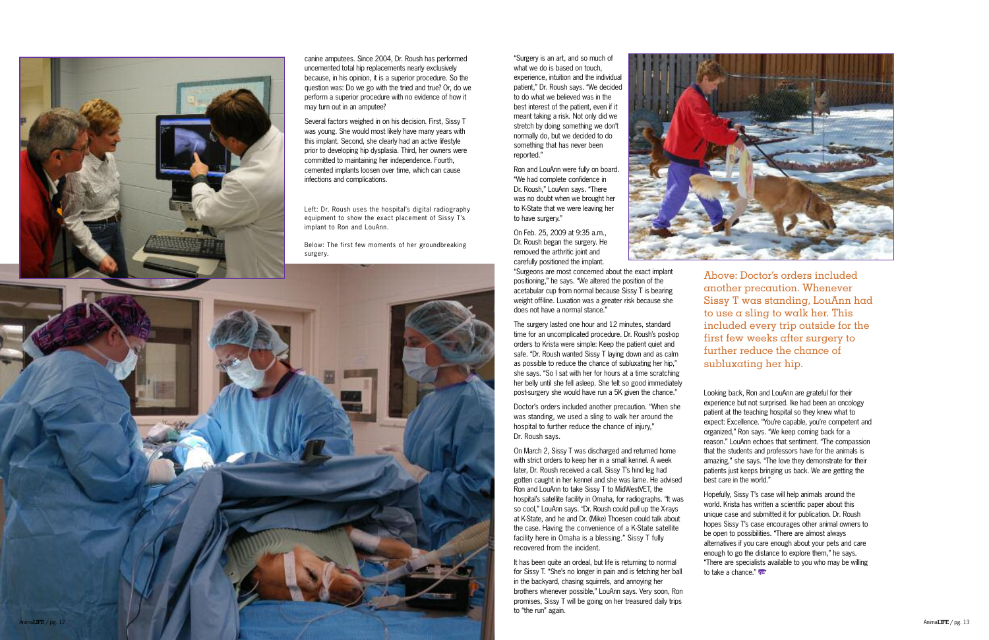

canine amputees. Since 2004, Dr. Roush has performed uncemented total hip replacements nearly exclusively because, in his opinion, it is a superior procedure. So the question was: Do we go with the tried and true? Or, do we perform a superior procedure with no evidence of how it may turn out in an amputee?

Several factors weighed in on his decision. First, Sissy T was voung. She would most likely have many vears with this implant. Second, she clearly had an active lifestyle prior to developing hip dysplasia. Third, her owners were committed to maintaining her independence. Fourth. cemented implants loosen over time, which can cause infections and complications.

Left: Dr. Roush uses the hospital's digital radiography ' equipment to show the exact placement of Sissy T's ' implant to Ron and LouAnn.

Below: The first few moments of her groundbreaking surgerv.

"Surgery is an art, and so much of what we do is based on touch. experience, intuition and the individual patient." Dr. Roush savs. "We decided to do what we believed was in the best interest of the patient, even if it meant taking a risk. Not only did we stretch by doing something we don't ' normally do, but we decided to do something that has never been reported."

Ron and LouAnn were fully on board. "We had complete confidence in Dr. Roush." LouAnn savs. "There was no doubt when we brought her to K-State that we were leaving her to have surgery."

On Feb. 25, 2009 at 9:35 a.m., Dr. Roush began the surgery. He removed the arthritic ioint and carefully positioned the implant.

"Surgeons are most concerned about the exact implant positioning," he says, "We altered the position of the acetabular cup from normal because Sissy T is bearing weight off-line. Luxation was a greater risk because she does not have a normal stance."

The surgery lasted one hour and 12 minutes, standard time for an uncomplicated procedure. Dr. Roush's post-op ' orders to Krista were simple: Keep the patient quiet and safe. "Dr. Roush wanted Sissy T laving down and as calm as possible to reduce the chance of subluxating her hip." she says, "So I sat with her for hours at a time scratching her belly until she fell asleep. She felt so good immediately post-surgery she would have run a 5K given the chance."

Doctor's orders included another precaution. "When she ' was standing, we used a sling to walk her around the hospital to further reduce the chance of injury." Dr. Roush savs.

On March 2, Sissy T was discharged and returned home with strict orders to keep her in a small kennel. A week later, Dr. Roush received a call. Sissy T's hind leg had ' gotten caught in her kennel and she was lame. He advised Ron and LouAnn to take Sissy T to MidWestVET, the hospital's satellite facility in Omaha, for radiographs, "It was ' so cool." LouAnn savs. "Dr. Roush could pull up the X-ravs at K-State, and he and Dr. (Mike) Thoesen could talk about the case. Having the convenience of a K-State satellite facility here in Omaha is a blessing." Sissy T fully recovered from the incident.

It has been quite an ordeal, but life is returning to normal for Sissy T, "She's no longer in pain and is fetching her ball ' in the backvard, chasing squirrels, and annoving her brothers whenever possible." LouAnn says, Very soon, Ron promises. Sissy T will be going on her treasured daily trips to "the run" again.

Above: Doctor's orders included another precaution. Whenever S i s s y T w a s s t a n d i n g , L o u A n n h a d to use a sling to walk her. This included every trip outside for the first few weeks after surgery to further reduce the chance of subluxating her hip.

Looking back. Ron and LouAnn are grateful for their experience but not surprised. Ike had been an oncology patient at the teaching hospital so they knew what to expect: Excellence, "You're capable, you're competent and ' ' organized." Ron savs. "We keep coming back for a reason." LouAnn echoes that sentiment. "The compassion that the students and professors have for the animals is amazing," she says, "The love they demonstrate for their patients just keeps bringing us back. We are getting the best care in the world."



Hopefully, Sissy T's case will help animals around the ' world. Krista has written a scientific paper about this unique case and submitted it for publication. Dr. Roush hopes Sissy T's case encourages other animal owners to ' be open to possibilities. "There are almost always alternatives if you care enough about your pets and care enough to go the distance to explore them." he savs. "There are specialists available to you who may be willing to take a chance."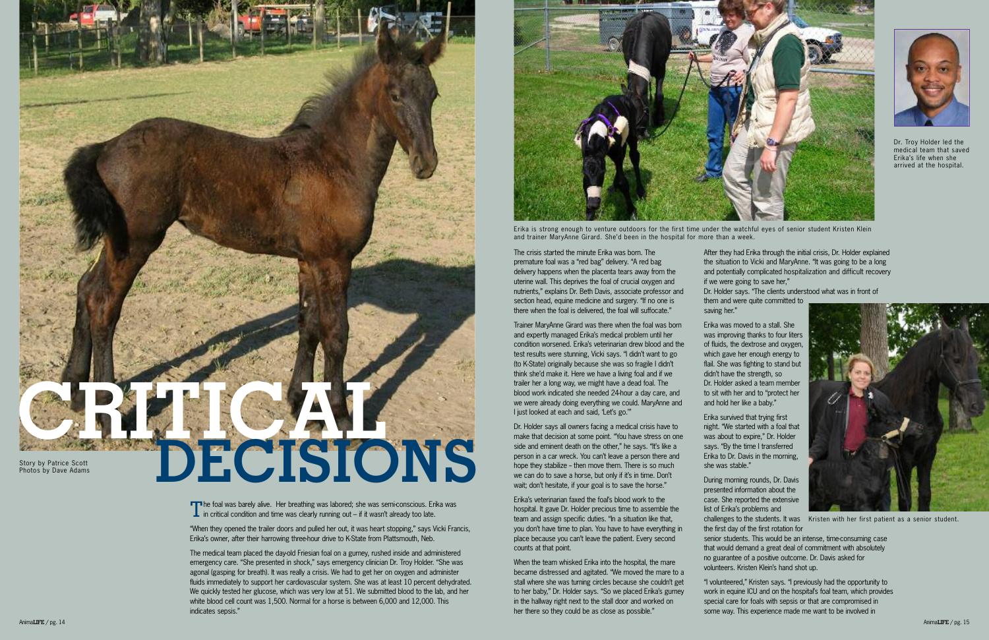"When they opened the trailer doors and pulled her out, it was heart stopping," says Vicki Francis, Erika's owner, after their harrowing three-hour drive to K-State from Plattsmouth, Neb.

The medical team placed the day-old Friesian foal on a gurney, rushed inside and administered emergency care. "She presented in shock," says emergency clinician Dr. Troy Holder. "She was agonal (gasping for breath). It was really a crisis. We had to get her on oxygen and administer fluids immediately to support her cardiovascular system. She was at least 10 percent dehydrated. We quickly tested her glucose, which was very low at 51. We submitted blood to the lab, and her white blood cell count was 1,500. Normal for a horse is between 6,000 and 12,000. This indicates sepsis."

Dr. Holder says all owners facing a medical crisis have to make that decision at some point. "You have stress on one side and eminent death on the other," he says. "It's like a person in a car wreck. You can't leave a person there and hope they stabilize - then move them. There is so much we can do to save a horse, but only if it's in time. Don't wait; don't hesitate, if your goal is to save the horse."

The crisis started the minute Erika was born. The premature foal was a "red bag" delivery. "A red bag delivery happens when the placenta tears away from the uterine wall. This deprives the foal of crucial oxygen and nutrients," explains Dr. Beth Davis, associate professor and section head, equine medicine and surgery. "If no one is there when the foal is delivered, the foal will suffocate."

When the team whisked Erika into the hospital, the mare became distressed and agitated. "We moved the mare to a stall where she was turning circles because she couldn't get to her baby," Dr. Holder says. "So we placed Erika's gurney in the hallway right next to the stall door and worked on her there so they could be as close as possible."

Trainer MaryAnne Girard was there when the foal was born and expertly managed Erika's medical problem until her condition worsened. Erika's veterinarian drew blood and the test results were stunning, Vicki says. "I didn't want to go (to K-State) originally because she was so fragile I didn't think she'd make it. Here we have a living foal and if we trailer her a long way, we might have a dead foal. The blood work indicated she needed 24-hour a day care, and we were already doing everything we could. MaryAnne and I just looked at each and said, 'Let's go.'"

Erika's veterinarian faxed the foal's blood work to the hospital. It gave Dr. Holder precious time to assemble the team and assign specific duties. "In a situation like that, you don't have time to plan. You have to have everything in place because you can't leave the patient. Every second counts at that point.

After they had Erika through the initial crisis, Dr. Holder explained the situation to Vicki and MaryAnne. "It was going to be a long and potentially complicated hospitalization and difficult recovery if we were going to save her,"

Dr. Holder says. "The clients understood what was in front of them and were quite committed to

saving her."

Erika was moved to a stall. She was improving thanks to four liters of fluids, the dextrose and oxygen, which gave her enough energy to flail. She was fighting to stand but didn't have the strength, so Dr. Holder asked a team member to sit with her and to "protect her and hold her like a baby."

Erika survived that trying first night. "We started with a foal that was about to expire," Dr. Holder says. "By the time I transferred Erika to Dr. Davis in the morning, she was stable."

During morning rounds, Dr. Davis presented information about the case. She reported the extensive list of Erika's problems and

the first day of the first rotation for

senior students. This would be an intense, time-consuming case that would demand a great deal of commitment with absolutely no guarantee of a positive outcome. Dr. Davis asked for volunteers. Kristen Klein's hand shot up.



challenges to the students. It was Kristen with her first patient as a senior student.

"I volunteered," Kristen says. "I previously had the opportunity to work in equine ICU and on the hospital's foal team, which provides special care for foals with sepsis or that are compromised in some way. This experience made me want to be involved in



Erika is strong enough to venture outdoors for the first time under the watchful eyes of senior student Kristen Klein and trainer MaryAnne Girard. She'd been in the hospital for more than a week.



The foal was barely alive. Her breathing was labored; she was semi-conscious. Erika was  $\perp$  in critical condition and time was clearly running out – if it wasn't already too late.



Dr. Troy Holder led the medical team that saved Erika's life when she arrived at the hospital.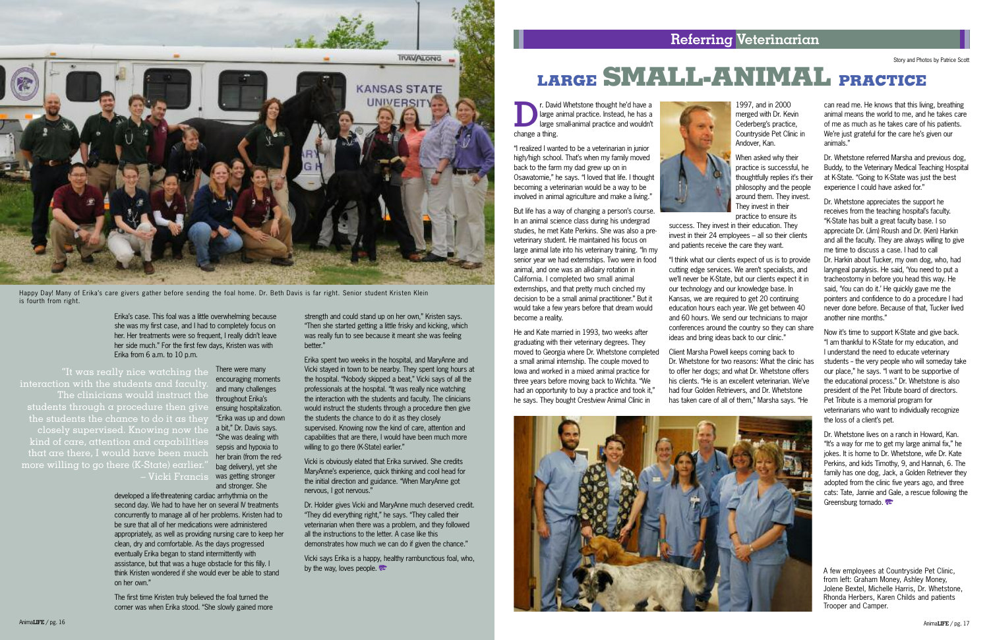

**DEREVIE SERVIE START AND KING A LIST AND KING A LIST AND KING A LIST AND REPORT OF A LIST AND REPORT OF A LIST AND REPORT OF A LIST AND REPORT OF A LIST AND REPORT OF A LIST AND REPORT OF A LIST AND REPORT OF A LIST AND R** large animal practice. Instead, he has a large small-animal practice and wouldn't change a thing.

"I realized I wanted to be a veterinarian in junior high/high school. That's when my family moved back to the farm my dad grew up on in Osawatomie," he says. "I loved that life. I thought becoming a veterinarian would be a way to be involved in animal agriculture and make a living."

But life has a way of changing a person's course. In an animal science class during his undergrad studies, he met Kate Perkins. She was also a preveterinary student. He maintained his focus on large animal late into his veterinary training. "In my senior year we had externships. Two were in food animal, and one was an all-dairy rotation in California. I completed two small animal externships, and that pretty much cinched my decision to be a small animal practitioner." But it would take a few years before that dream would become a reality.

He and Kate married in 1993, two weeks after graduating with their veterinary degrees. They moved to Georgia where Dr. Whetstone completed a small animal internship. The couple moved to Iowa and worked in a mixed animal practice for three years before moving back to Wichita. "We had an opportunity to buy a practice and took it," he says. They bought Crestview Animal Clinic in



1997, and in 2000 merged with Dr. Kevin Cederberg's practice, Countryside Pet Clinic in Andover, Kan.

When asked why their practice is successful, he thoughtfully replies it's their philosophy and the people around them. They invest. They invest in their practice to ensure its

success. They invest in their education. They invest in their 24 employees – all so their clients and patients receive the care they want.

> Dr. Whetstone lives on a ranch in Howard, Kan. "It's a way for me to get my large animal fix," he jokes. It is home to Dr. Whetstone, wife Dr. Kate Perkins, and kids Timothy, 9, and Hannah, 6. The family has one dog, Jack, a Golden Retriever they adopted from the clinic five years ago, and three cats: Tate, Jannie and Gale, a rescue following the Greensburg tornado.

"I think what our clients expect of us is to provide cutting edge services. We aren't specialists, and we'll never be K-State, but our clients expect it in our technology and our knowledge base. In Kansas, we are required to get 20 continuing education hours each year. We get between 40 and 60 hours. We send our technicians to major conferences around the country so they can share ideas and bring ideas back to our clinic."

Client Marsha Powell keeps coming back to Dr. Whetstone for two reasons: What the clinic has to offer her dogs; and what Dr. Whetstone offers his clients. "He is an excellent veterinarian. We've had four Golden Retrievers, and Dr. Whetstone has taken care of all of them," Marsha says. "He

can read me. He knows that this living, breathing animal means the world to me, and he takes care of me as much as he takes care of his patients. We're just grateful for the care he's given our animals."

Dr. Whetstone referred Marsha and previous dog, Buddy, to the Veterinary Medical Teaching Hospital at K-State. "Going to K-State was just the best experience I could have asked for."

Erika spent two weeks in the hospital, and MaryAnne and Vicki stayed in town to be nearby. They spent long hours at the hospital. "Nobody skipped a beat," Vicki says of all the professionals at the hospital. "It was really nice watching the interaction with the students and faculty. The clinicians would instruct the students through a procedure then give the students the chance to do it as they closely supervised. Knowing now the kind of care, attention and capabilities that are there, I would have been much more willing to go there (K-State) earlier."

Dr. Whetstone appreciates the support he receives from the teaching hospital's faculty. "K-State has built a great faculty base. I so appreciate Dr. (Jim) Roush and Dr. (Ken) Harkin and all the faculty. They are always willing to give me time to discuss a case. I had to call Dr. Harkin about Tucker, my own dog, who, had laryngeal paralysis. He said, 'You need to put a tracheostomy in before you head this way. He said, 'You can do it.' He quickly gave me the pointers and confidence to do a procedure I had never done before. Because of that, Tucker lived another nine months."

Vicki says Erika is a happy, healthy rambunctious foal, who, by the way, loves people.  $\approx$ 

Now it's time to support K-State and give back. "I am thankful to K-State for my education, and I understand the need to educate veterinary students - the very people who will someday take our place," he says. "I want to be supportive of the educational process." Dr. Whetstone is also president of the Pet Tribute board of directors. Pet Tribute is a memorial program for veterinarians who want to individually recognize the loss of a client's pet.

# **LARGE SMALL-ANIMAL PRACTICE**

A few employees at Countryside Pet Clinic, from left: Graham Money, Ashley Money, Jolene Bextel, Michelle Harris, Dr. Whetstone, Rhonda Herbers, Karen Childs and patients Trooper and Camper.

Story and Photos by Patrice Scott

Erika's case. This foal was a little overwhelming because she was my first case, and I had to completely focus on her. Her treatments were so frequent, I really didn't leave her side much." For the first few days, Kristen was with Erika from 6 a.m. to 10 p.m.

There were many encouraging moments and many challenges throughout Erika's ensuing hospitalization. "Erika was up and down a bit," Dr. Davis says. "She was dealing with sepsis and hypoxia to her brain (from the redbag delivery), yet she was getting stronger and stronger. She

developed a life-threatening cardiac arrhythmia on the second day. We had to have her on several IV treatments concurrently to manage all of her problems. Kristen had to be sure that all of her medications were administered appropriately, as well as providing nursing care to keep her clean, dry and comfortable. As the days progressed eventually Erika began to stand intermittently with assistance, but that was a huge obstacle for this filly. I think Kristen wondered if she would ever be able to stand on her own."

The first time Kristen truly believed the foal turned the corner was when Erika stood. "She slowly gained more strength and could stand up on her own," Kristen says. "Then she started getting a little frisky and kicking, which was really fun to see because it meant she was feeling better."

Vicki is obviously elated that Erika survived. She credits MaryAnne's experience, quick thinking and cool head for the initial direction and guidance. "When MaryAnne got nervous, I got nervous."

Dr. Holder gives Vicki and MaryAnne much deserved credit. "They did everything right," he says. "They called their veterinarian when there was a problem, and they followed all the instructions to the letter. A case like this demonstrates how much we can do if given the chance."

"It was really nice watching the interaction with the students and faculty. The clinicians would instruct the students through a procedure then give the students the chance to do it as they closely supervised. Knowing now the kind of care, attention and capabilities that are there, I would have been much more willing to go there (K-State) earlier." – Vicki Francis



Happy Day! Many of Erika's care givers gather before sending the foal home. Dr. Beth Davis is far right. Senior student Kristen Klein is fourth from right.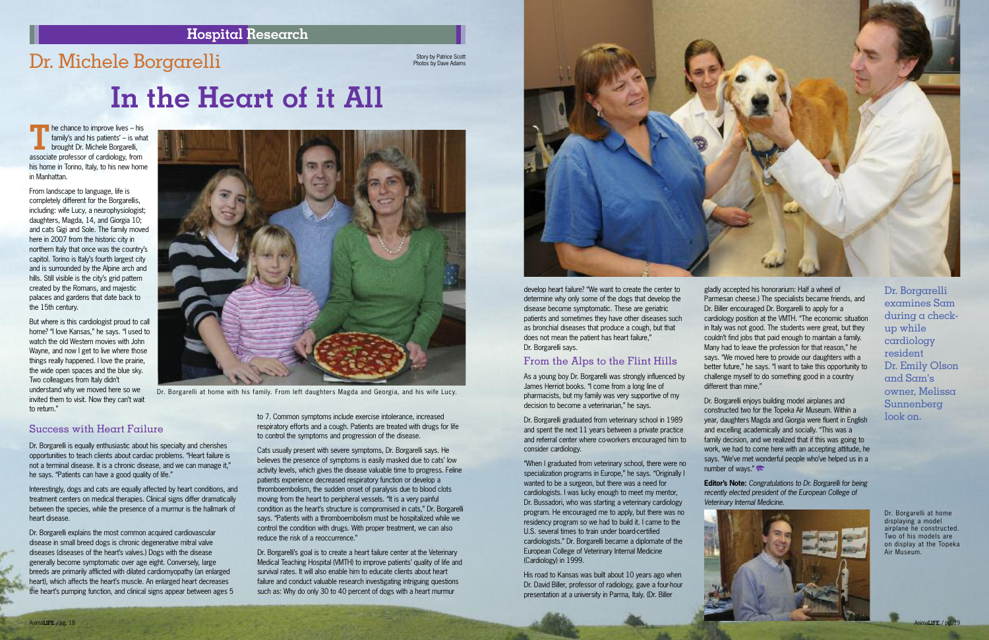

#### **Hospital Research**

### Dr. Michele Borgarelli

Story by Patrice Scott<br>Photos by Dave Adams

**Th**e chance to improve lives – his family's and his patients' – is what **brought Dr. Michele Borgarelli,** associate professor of cardiology, from his home in Torino, Italy, to his new home in Manhattan.

From landscape to language, life is completely different for the Borgarellis, including: wife Lucy, a neurophysiologist; daughters, Magda, 14, and Giorgia 10; and cats Gigi and Sole. The family moved here in 2007 from the historic city in northern Italy that once was the country's capitol. Torino is Italy's fourth largest city and is surrounded by the Alpine arch and hills. Still visible is the city's grid pattern created by the Romans, and majestic palaces and gardens that date back to the 15th century.

But where is this cardiologist proud to call home? "I love Kansas," he says. "I used to watch the old Western movies with John Wayne, and now I get to live where those things really happened. I love the prairie, the wide open spaces and the blue sky. Two colleagues from Italy didn't understand why we moved here so we invited them to visit. Now they can't wait to return."



Dr. Borgarelli is equally enthusiastic about his specialty and cherishes opportunities to teach clients about cardiac problems. "Heart failure is not a terminal disease. It is a chronic disease, and we can manage it," he says. "Patients can have a good quality of life."

Interestingly, dogs and cats are equally affected by heart conditions, and treatment centers on medical therapies. Clinical signs differ dramatically between the species, while the presence of a murmur is the hallmark of heart disease.

Dr. Borgarelli explains the most common acquired cardiovascular disease in small breed dogs is chronic degenerative mitral valve diseases (diseases of the heart's valves.) Dogs with the disease generally become symptomatic over age eight. Conversely, large breeds are primarily afflicted with dilated cardiomyopathy (an enlarged heart), which affects the heart's muscle. An enlarged heart decreases the heart's pumping function, and clinical signs appear between ages 5 to 7. Common symptoms include exercise intolerance, increased respiratory efforts and a cough. Patients are treated with drugs for life to control the symptoms and progression of the disease.

gladly accepted his honorarium: Half a wheel of Parmesan cheese.) The specialists became friends, and Dr. Biller encouraged Dr. Borgarelli to apply for a cardiology position at the VMTH. "The economic situation in Italy was not good. The students were great, but they couldn't find jobs that paid enough to maintain a family. Many had to leave the profession for that reason," he says. "We moved here to provide our daughters with a better future," he says. "I want to take this opportunity to challenge myself to do something good in a country different than mine."



Cats usually present with severe symptoms, Dr. Borgarelli says. He believes the presence of symptoms is easily masked due to cats' low activity levels, which gives the disease valuable time to progress. Feline patients experience decreased respiratory function or develop a thromboembolism, the sudden onset of paralysis due to blood clots moving from the heart to peripheral vessels. "It is a very painful condition as the heart's structure is compromised in cats," Dr. Borgarelli says. "Patients with a thromboembolism must be hospitalized while we control the condition with drugs. With proper treatment, we can also reduce the risk of a reoccurrence."

Dr. Borgarelli enjoys building model airplanes and constructed two for the Topeka Air Museum. Within a year, daughters Magda and Giorgia were fluent in English and excelling academically and socially. "This was a family decision, and we realized that if this was going to work, we had to come here with an accepting attitude, he says. "We've met wonderful people who've helped us in a number of ways."

Dr. Borgarelli's goal is to create a heart failure center at the Veterinary Medical Teaching Hospital (VMTH) to improve patients' quality of life and survival rates. It will also enable him to educate clients about heart failure and conduct valuable research investigating intriguing questions such as: Why do only 30 to 40 percent of dogs with a heart murmur



# **In the Heart of it All**

develop heart failure? "We want to create the center to determine why only some of the dogs that develop the disease become symptomatic. These are geriatric patients and sometimes they have other diseases such as bronchial diseases that produce a cough, but that does not mean the patient has heart failure," Dr. Borgarelli says.

#### From the Alps to the Flint Hills

As a young boy Dr. Borgarelli was strongly influenced by James Herriot books. "I come from a long line of pharmacists, but my family was very supportive of my decision to become a veterinarian," he says.

Dr. Borgarelli graduated from veterinary school in 1989 and spent the next 11 years between a private practice and referral center where co-workers encouraged him to consider cardiology.

"When I graduated from veterinary school, there were no specialization programs in Europe," he says. "Originally I wanted to be a surgeon, but there was a need for cardiologists. I was lucky enough to meet my mentor, Dr. Bussadori, who was starting a veterinary cardiology program. He encouraged me to apply, but there was no residency program so we had to build it. I came to the U.S. several times to train under board-certified cardiologists." Dr. Borgarelli became a diplomate of the European College of Veterinary Internal Medicine (Cardiology) in 1999.

His road to Kansas was built about 10 years ago when Dr. David Biller, professor of radiology, gave a four-hour presentation at a university in Parma, Italy. (Dr. Biller

**Editor's Note:** *Congratulations to Dr. Borgarelli for being recently elected president of the European College of Veterinary Internal Medicine.*

Dr. Borgarelli examines Sam during a checkup while cardiology resident Dr. Emily Olson and Sam's owner, Melissa Sunnenberg look on.

Dr. Borgarelli at home displaying a model airplane he constructed. Two of his models are on display at the Topeka Air Museum.

Dr. Borgarelli at home with his family. From left daughters Magda and Georgia, and his wife Lucy.